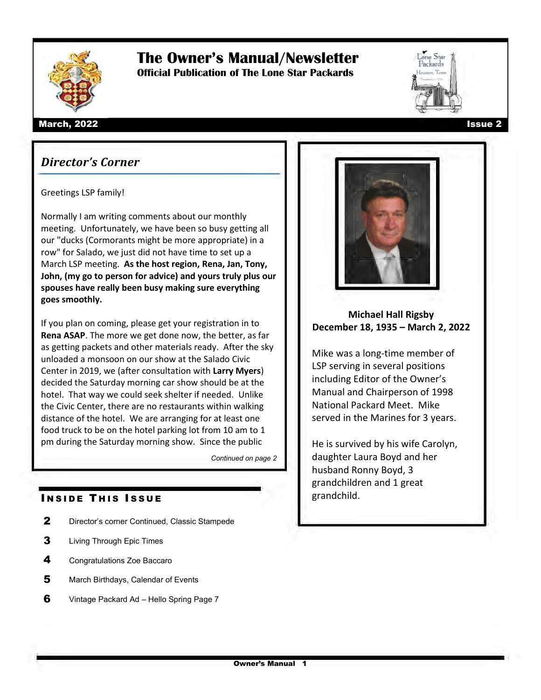

# **The Owner's Manual/Newsletter**

**Official Publication of The Lone Star Packards**



### *Director's Corner*

#### Greetings LSP family!

Normally I am writing comments about our monthly meeting. Unfortunately, we have been so busy getting all our "ducks (Cormorants might be more appropriate) in a row" for Salado, we just did not have time to set up a March LSP meeting. **As the host region, Rena, Jan, Tony, John, (my go to person for advice) and yours truly plus our spouses have really been busy making sure everything goes smoothly.**

If you plan on coming, please get your registration in to **Rena ASAP**. The more we get done now, the better, as far as getting packets and other materials ready. After the sky unloaded a monsoon on our show at the Salado Civic Center in 2019, we (after consultation with **Larry Myers**) decided the Saturday morning car show should be at the hotel. That way we could seek shelter if needed. Unlike the Civic Center, there are no restaurants within walking distance of the hotel. We are arranging for at least one food truck to be on the hotel parking lot from 10 am to 1 pm during the Saturday morning show. Since the public

*Continued on page 2*

### **INSIDE THIS ISSUE**

- 2 Director's corner Continued, Classic Stampede
- **3** Living Through Epic Times
- 4 Congratulations Zoe Baccaro
- 5 March Birthdays, Calendar of Events
- 6 Vintage Packard Ad Hello Spring Page 7







**Michael Hall Rigsby December 18, 1935 – March 2, 2022**

Mike was a long-time member of LSP serving in several positions including Editor of the Owner's Manual and Chairperson of 1998 National Packard Meet. Mike served in the Marines for 3 years.

He is survived by his wife Carolyn, daughter Laura Boyd and her husband Ronny Boyd, 3 grandchildren and 1 great grandchild.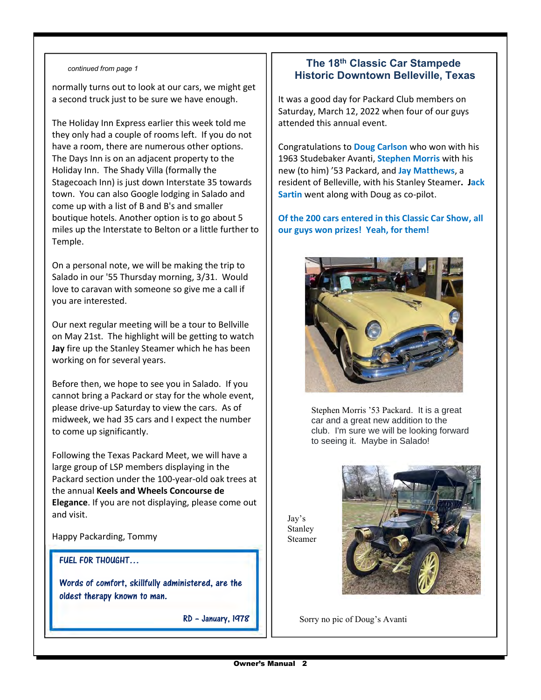#### *continued from page 1*

normally turns out to look at our cars, we might get a second truck just to be sure we have enough.

The Holiday Inn Express earlier this week told me they only had a couple of rooms left. If you do not have a room, there are numerous other options. The Days Inn is on an adjacent property to the Holiday Inn. The Shady Villa (formally the Stagecoach Inn) is just down Interstate 35 towards town. You can also Google lodging in Salado and come up with a list of B and B's and smaller boutique hotels. Another option is to go about 5 miles up the Interstate to Belton or a little further to Temple.

On a personal note, we will be making the trip to Salado in our '55 Thursday morning, 3/31. Would love to caravan with someone so give me a call if you are interested.

Our next regular meeting will be a tour to Bellville on May 21st. The highlight will be getting to watch **Jay** fire up the Stanley Steamer which he has been working on for several years.

Before then, we hope to see you in Salado. If you cannot bring a Packard or stay for the whole event, please drive-up Saturday to view the cars. As of midweek, we had 35 cars and I expect the number to come up significantly.

Following the Texas Packard Meet, we will have a large group of LSP members displaying in the Packard section under the 100-year-old oak trees at the annual **Keels and Wheels Concourse de Elegance**. If you are not displaying, please come out and visit.

Happy Packarding, Tommy

#### FUEL FOR THOUGHT…

Words of comfort, skillfully administered, are the oldest therapy known to man.

RD - January, 1978

### **The 18th Classic Car Stampede Historic Downtown Belleville, Texas**

It was a good day for Packard Club members on Saturday, March 12, 2022 when four of our guys attended this annual event.

Congratulations to **Doug Carlson** who won with his 1963 Studebaker Avanti, **Stephen Morris** with his new (to him) '53 Packard, and **Jay Matthews**, a resident of Belleville, with his Stanley Steamer**. Jack Sartin** went along with Doug as co-pilot.

### **Of the 200 cars entered in this Classic Car Show, all our guys won prizes! Yeah, for them!**



Stephen Morris '53 Packard. It is a great car and a great new addition to the club. I'm sure we will be looking forward to seeing it. Maybe in Salado!

Jay's Stanley Steamer



Sorry no pic of Doug's Avanti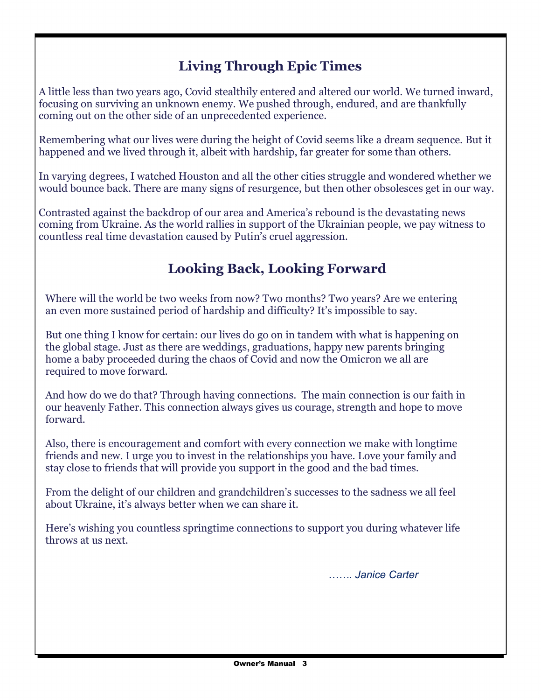# **Living Through Epic Times**

A little less than two years ago, Covid stealthily entered and altered our world. We turned inward, focusing on surviving an unknown enemy. We pushed through, endured, and are thankfully coming out on the other side of an unprecedented experience.

Remembering what our lives were during the height of Covid seems like a dream sequence. But it happened and we lived through it, albeit with hardship, far greater for some than others.

In varying degrees, I watched Houston and all the other cities struggle and wondered whether we would bounce back. There are many signs of resurgence, but then other obsolesces get in our way.

Contrasted against the backdrop of our area and America's rebound is the devastating news coming from Ukraine. As the world rallies in support of the Ukrainian people, we pay witness to countless real time devastation caused by Putin's cruel aggression.

# **Looking Back, Looking Forward**

Where will the world be two weeks from now? Two months? Two years? Are we entering an even more sustained period of hardship and difficulty? It's impossible to say.

But one thing I know for certain: our lives do go on in tandem with what is happening on the global stage. Just as there are weddings, graduations, happy new parents bringing home a baby proceeded during the chaos of Covid and now the Omicron we all are required to move forward.

And how do we do that? Through having connections. The main connection is our faith in our heavenly Father. This connection always gives us courage, strength and hope to move forward.

Also, there is encouragement and comfort with every connection we make with longtime friends and new. I urge you to invest in the relationships you have. Love your family and stay close to friends that will provide you support in the good and the bad times.

From the delight of our children and grandchildren's successes to the sadness we all feel about Ukraine, it's always better when we can share it.

Here's wishing you countless springtime connections to support you during whatever life throws at us next.

*……. Janice Carter*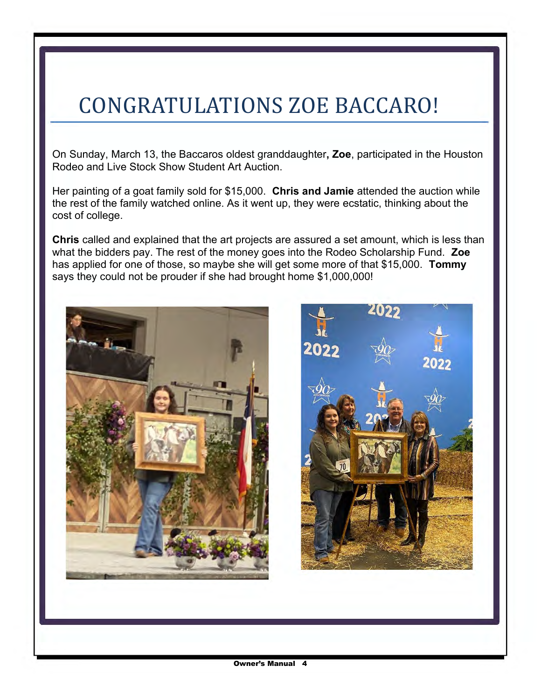# CONGRATULATIONS ZOE BACCARO!

On Sunday, March 13, the Baccaros oldest granddaughter**, Zoe**, participated in the Houston Rodeo and Live Stock Show Student Art Auction.

Her painting of a goat family sold for \$15,000. **Chris and Jamie** attended the auction while the rest of the family watched online. As it went up, they were ecstatic, thinking about the cost of college.

**Chris** called and explained that the art projects are assured a set amount, which is less than what the bidders pay. The rest of the money goes into the Rodeo Scholarship Fund. **Zoe** has applied for one of those, so maybe she will get some more of that \$15,000. **Tommy**  says they could not be prouder if she had brought home \$1,000,000!

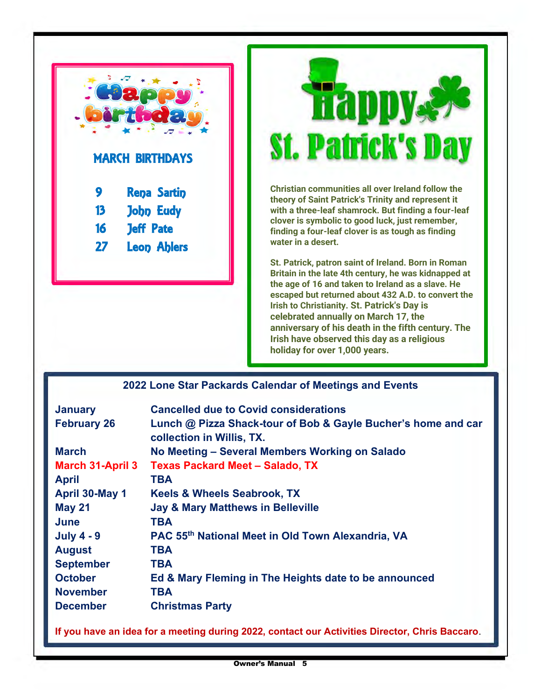



**Christian communities all over Ireland follow the theory of Saint Patrick's Trinity and represent it with a three-leaf shamrock. But finding a four-leaf clover is symbolic to good luck, just remember, finding a four-leaf clover is as tough as finding water in a desert.**

**St. Patrick, patron saint of Ireland. Born in Roman Britain in the late 4th century, he was kidnapped at the age of 16 and taken to Ireland as a slave. He escaped but returned about 432 A.D. to convert the Irish to Christianity. St. Patrick's Day is celebrated annually on March 17, the anniversary of his death in the fifth century. The Irish have observed this day as a religious holiday for over 1,000 years.**

| 2022 Lone Star Packards Calendar of Meetings and Events |  |
|---------------------------------------------------------|--|
|---------------------------------------------------------|--|

| <b>January</b>          | <b>Cancelled due to Covid considerations</b>                                               |
|-------------------------|--------------------------------------------------------------------------------------------|
| <b>February 26</b>      | Lunch @ Pizza Shack-tour of Bob & Gayle Bucher's home and car<br>collection in Willis, TX. |
| <b>March</b>            | No Meeting - Several Members Working on Salado                                             |
| <b>March 31-April 3</b> | <b>Texas Packard Meet - Salado, TX</b>                                                     |
| <b>April</b>            | <b>TBA</b>                                                                                 |
| April 30-May 1          | <b>Keels &amp; Wheels Seabrook, TX</b>                                                     |
| <b>May 21</b>           | <b>Jay &amp; Mary Matthews in Belleville</b>                                               |
| June                    | <b>TBA</b>                                                                                 |
| <b>July 4 - 9</b>       | PAC 55th National Meet in Old Town Alexandria, VA                                          |
| <b>August</b>           | <b>TBA</b>                                                                                 |
| <b>September</b>        | <b>TBA</b>                                                                                 |
| <b>October</b>          | Ed & Mary Fleming in The Heights date to be announced                                      |
| <b>November</b>         | <b>TBA</b>                                                                                 |
| <b>December</b>         | <b>Christmas Party</b>                                                                     |

**If you have an idea for a meeting during 2022, contact our Activities Director, Chris Baccaro**.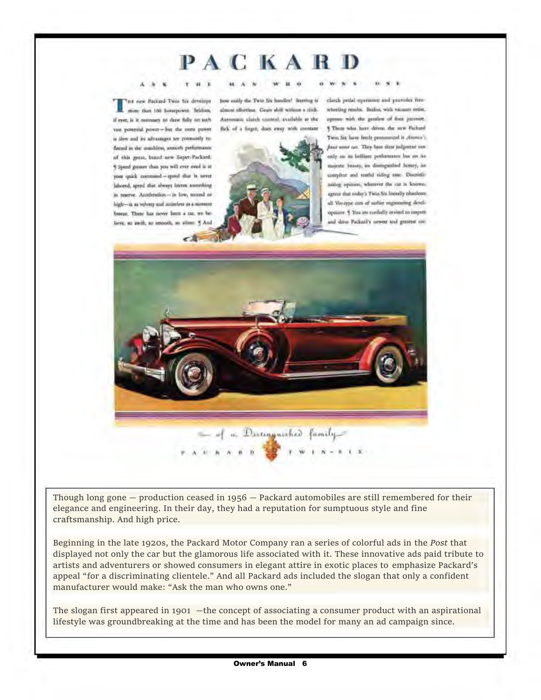# **PACKARD**

#### <sup>A</sup>> **K** r II Ill

The new Packard Twin Six develops bow<br>more than 100 horsepower. Seldom, alm - rc--W pa--- ., - <sup>~</sup>ft ,S,.. .. ft t.lH~ ,w ~!Id,,\_. if eyer, is it necessary to show fully on such faceed in the muiddess, smootly performance of this great, brand new Saper-Packard. % Speed grower than you will ever eved is at your quick command -- spend that is never ishored, speed that always leaves something in reserve. Anoderstica --- in low, second ehigh- is as velvery and noiseless as a minuscr beeze. There has never hom a car, we believe, so swift, so smooth, so silem 5 And

how easily the Twin Six handles! Secretag is closch pedal operation and provides free almost effortless. Gears shift withing a click. Automarie clarels control, available ar the



wheeling resules. Buskes, with vacuum socies, agence with the gentlest of foot persons. § These who, have determ the new Packard Twin Six have finily pentamical is cleared ... Twin Six have finity purnamental it channel's<br>
final name can. They have these judgment mm<br>
only on its brilliant performance low on its<br>
universe bravey, as distinguished licitory, has<br>
samplete and reathd riding can: Dis only on its belliaus performance but are toonly on its ledliam performance but an its<br>majoric beauty, tes distinguished luxury, iae unicatic beauty, its distinguished luxury, ias<br>complete and resulud eiding case. Discritismitteg a<br>
agrees the<br>
self Veret<br>
opmann<br>
and date Twin Six have feasily purnominged it climena's<br>facet numer car. They have these judgment may analyze to include performance loss on the<br>unigentic beauty, tex distinguished licensy, i.e.<br>complete and resultd riding case. Di all Veneype can of sarlier enganeering developnew. 5 You are confully invited to inspect and drive Packatil's newest stid genress cor-

*w* **w** 



Though long gone  $-$  production ceased in 1956  $-$  Packard automobiles are still remembered for their elegance and engineering. In their day, they had a reputation for sumptuous style and fine craftsmanship. And high price.

Beginning in the late 1920s, the Packard Motor Company ran a series of colorful ads in the *Post* that displayed not only the car but the glamorous life associated with it. These innovative ads paid tribute to artists and adventurers or showed consumers in elegant attire in exotic places to emphasize Packard's appeal "for a discriminating clientele." And all Packard ads included the slogan that only a confident manufacturer would make: "Ask the man who owns one."

The slogan first appeared in 1901 —the concept of associating a consumer product with an aspirational lifestyle was groundbreaking at the time and has been the model for many an ad campaign since.